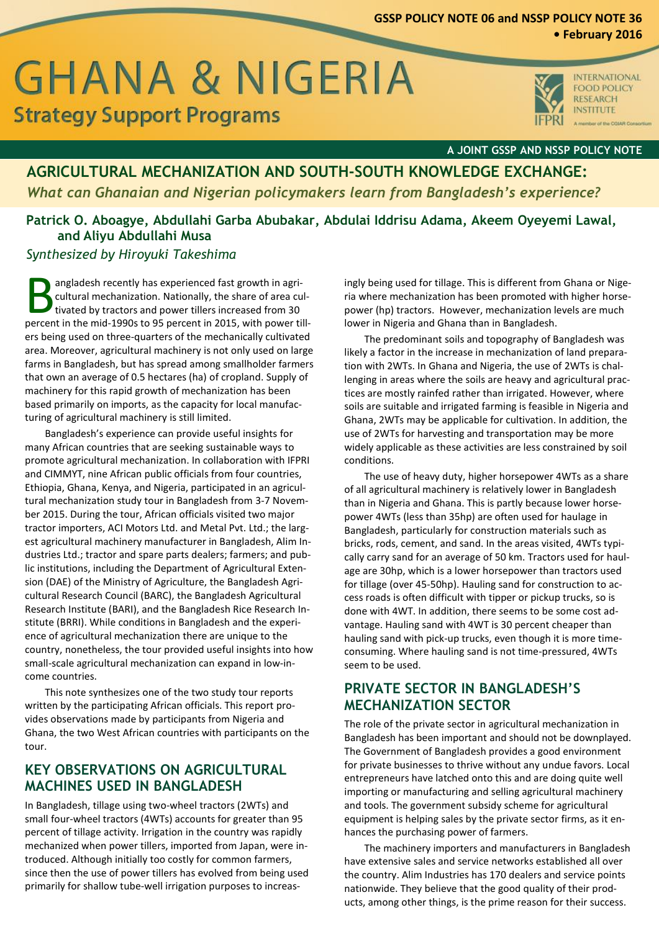# **GSSP POLICY NOTE 06 and NSSP POLICY NOTE 36**

## **• February 2016**

# **GHANA & NIGERIA Strategy Support Programs**



**INTERNATIONAL FOOD POLICY RESEARCH INSTITUTE** er of the COIAR Consortius

#### **A JOINT GSSP AND NSSP POLICY NOTE**

# **AGRICULTURAL MECHANIZATION AND SOUTH-SOUTH KNOWLEDGE EXCHANGE:** *What can Ghanaian and Nigerian policymakers learn from Bangladesh's experience?*

## **Patrick O. Aboagye, Abdullahi Garba Abubakar, Abdulai Iddrisu Adama, Akeem Oyeyemi Lawal, and Aliyu Abdullahi Musa**

#### *Synthesized by Hiroyuki Takeshima*

angladesh recently has experienced fast growth in agricultural mechanization. Nationally, the share of area cultivated by tractors and power tillers increased from 30 angladesh recently has experienced fast growth in agricultural mechanization. Nationally, the share of area cultivated by tractors and power tillers increased from 30 percent in the mid-1990s to 95 percent in 2015, with po ers being used on three-quarters of the mechanically cultivated area. Moreover, agricultural machinery is not only used on large farms in Bangladesh, but has spread among smallholder farmers that own an average of 0.5 hectares (ha) of cropland. Supply of machinery for this rapid growth of mechanization has been based primarily on imports, as the capacity for local manufacturing of agricultural machinery is still limited.

Bangladesh's experience can provide useful insights for many African countries that are seeking sustainable ways to promote agricultural mechanization. In collaboration with IFPRI and CIMMYT, nine African public officials from four countries, Ethiopia, Ghana, Kenya, and Nigeria, participated in an agricultural mechanization study tour in Bangladesh from 3-7 November 2015. During the tour, African officials visited two major tractor importers, ACI Motors Ltd. and Metal Pvt. Ltd.; the largest agricultural machinery manufacturer in Bangladesh, Alim Industries Ltd.; tractor and spare parts dealers; farmers; and public institutions, including the Department of Agricultural Extension (DAE) of the Ministry of Agriculture, the Bangladesh Agricultural Research Council (BARC), the Bangladesh Agricultural Research Institute (BARI), and the Bangladesh Rice Research Institute (BRRI). While conditions in Bangladesh and the experience of agricultural mechanization there are unique to the country, nonetheless, the tour provided useful insights into how small-scale agricultural mechanization can expand in low-income countries.

This note synthesizes one of the two study tour reports written by the participating African officials. This report provides observations made by participants from Nigeria and Ghana, the two West African countries with participants on the tour.

## **KEY OBSERVATIONS ON AGRICULTURAL MACHINES USED IN BANGLADESH**

In Bangladesh, tillage using two-wheel tractors (2WTs) and small four-wheel tractors (4WTs) accounts for greater than 95 percent of tillage activity. Irrigation in the country was rapidly mechanized when power tillers, imported from Japan, were introduced. Although initially too costly for common farmers, since then the use of power tillers has evolved from being used primarily for shallow tube-well irrigation purposes to increasingly being used for tillage. This is different from Ghana or Nigeria where mechanization has been promoted with higher horsepower (hp) tractors. However, mechanization levels are much lower in Nigeria and Ghana than in Bangladesh.

The predominant soils and topography of Bangladesh was likely a factor in the increase in mechanization of land preparation with 2WTs. In Ghana and Nigeria, the use of 2WTs is challenging in areas where the soils are heavy and agricultural practices are mostly rainfed rather than irrigated. However, where soils are suitable and irrigated farming is feasible in Nigeria and Ghana, 2WTs may be applicable for cultivation. In addition, the use of 2WTs for harvesting and transportation may be more widely applicable as these activities are less constrained by soil conditions.

The use of heavy duty, higher horsepower 4WTs as a share of all agricultural machinery is relatively lower in Bangladesh than in Nigeria and Ghana. This is partly because lower horsepower 4WTs (less than 35hp) are often used for haulage in Bangladesh, particularly for construction materials such as bricks, rods, cement, and sand. In the areas visited, 4WTs typically carry sand for an average of 50 km. Tractors used for haulage are 30hp, which is a lower horsepower than tractors used for tillage (over 45-50hp). Hauling sand for construction to access roads is often difficult with tipper or pickup trucks, so is done with 4WT. In addition, there seems to be some cost advantage. Hauling sand with 4WT is 30 percent cheaper than hauling sand with pick-up trucks, even though it is more timeconsuming. Where hauling sand is not time-pressured, 4WTs seem to be used.

## **PRIVATE SECTOR IN BANGLADESH'S MECHANIZATION SECTOR**

The role of the private sector in agricultural mechanization in Bangladesh has been important and should not be downplayed. The Government of Bangladesh provides a good environment for private businesses to thrive without any undue favors. Local entrepreneurs have latched onto this and are doing quite well importing or manufacturing and selling agricultural machinery and tools. The government subsidy scheme for agricultural equipment is helping sales by the private sector firms, as it enhances the purchasing power of farmers.

The machinery importers and manufacturers in Bangladesh have extensive sales and service networks established all over the country. Alim Industries has 170 dealers and service points nationwide. They believe that the good quality of their products, among other things, is the prime reason for their success.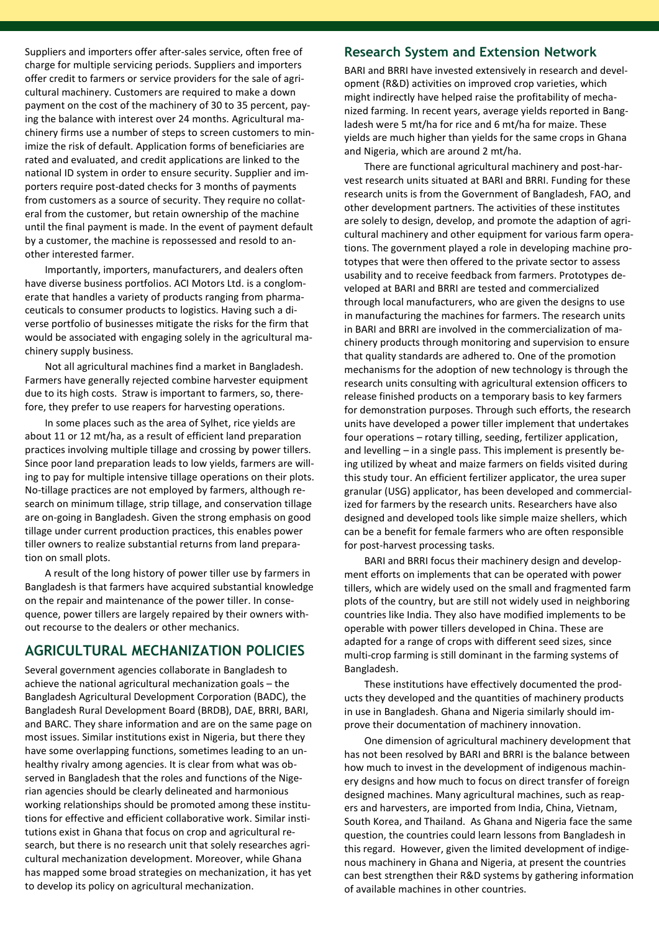Suppliers and importers offer after-sales service, often free of charge for multiple servicing periods. Suppliers and importers offer credit to farmers or service providers for the sale of agricultural machinery. Customers are required to make a down payment on the cost of the machinery of 30 to 35 percent, paying the balance with interest over 24 months. Agricultural machinery firms use a number of steps to screen customers to minimize the risk of default. Application forms of beneficiaries are rated and evaluated, and credit applications are linked to the national ID system in order to ensure security. Supplier and importers require post-dated checks for 3 months of payments from customers as a source of security. They require no collateral from the customer, but retain ownership of the machine until the final payment is made. In the event of payment default by a customer, the machine is repossessed and resold to another interested farmer.

Importantly, importers, manufacturers, and dealers often have diverse business portfolios. ACI Motors Ltd. is a conglomerate that handles a variety of products ranging from pharmaceuticals to consumer products to logistics. Having such a diverse portfolio of businesses mitigate the risks for the firm that would be associated with engaging solely in the agricultural machinery supply business.

Not all agricultural machines find a market in Bangladesh. Farmers have generally rejected combine harvester equipment due to its high costs. Straw is important to farmers, so, therefore, they prefer to use reapers for harvesting operations.

In some places such as the area of Sylhet, rice yields are about 11 or 12 mt/ha, as a result of efficient land preparation practices involving multiple tillage and crossing by power tillers. Since poor land preparation leads to low yields, farmers are willing to pay for multiple intensive tillage operations on their plots. No-tillage practices are not employed by farmers, although research on minimum tillage, strip tillage, and conservation tillage are on-going in Bangladesh. Given the strong emphasis on good tillage under current production practices, this enables power tiller owners to realize substantial returns from land preparation on small plots.

A result of the long history of power tiller use by farmers in Bangladesh is that farmers have acquired substantial knowledge on the repair and maintenance of the power tiller. In consequence, power tillers are largely repaired by their owners without recourse to the dealers or other mechanics.

## **AGRICULTURAL MECHANIZATION POLICIES**

Several government agencies collaborate in Bangladesh to achieve the national agricultural mechanization goals – the Bangladesh Agricultural Development Corporation (BADC), the Bangladesh Rural Development Board (BRDB), DAE, BRRI, BARI, and BARC. They share information and are on the same page on most issues. Similar institutions exist in Nigeria, but there they have some overlapping functions, sometimes leading to an unhealthy rivalry among agencies. It is clear from what was observed in Bangladesh that the roles and functions of the Nigerian agencies should be clearly delineated and harmonious working relationships should be promoted among these institutions for effective and efficient collaborative work. Similar institutions exist in Ghana that focus on crop and agricultural research, but there is no research unit that solely researches agricultural mechanization development. Moreover, while Ghana has mapped some broad strategies on mechanization, it has yet to develop its policy on agricultural mechanization.

#### **Research System and Extension Network**

BARI and BRRI have invested extensively in research and development (R&D) activities on improved crop varieties, which might indirectly have helped raise the profitability of mechanized farming. In recent years, average yields reported in Bangladesh were 5 mt/ha for rice and 6 mt/ha for maize. These yields are much higher than yields for the same crops in Ghana and Nigeria, which are around 2 mt/ha.

There are functional agricultural machinery and post-harvest research units situated at BARI and BRRI. Funding for these research units is from the Government of Bangladesh, FAO, and other development partners. The activities of these institutes are solely to design, develop, and promote the adaption of agricultural machinery and other equipment for various farm operations. The government played a role in developing machine prototypes that were then offered to the private sector to assess usability and to receive feedback from farmers. Prototypes developed at BARI and BRRI are tested and commercialized through local manufacturers, who are given the designs to use in manufacturing the machines for farmers. The research units in BARI and BRRI are involved in the commercialization of machinery products through monitoring and supervision to ensure that quality standards are adhered to. One of the promotion mechanisms for the adoption of new technology is through the research units consulting with agricultural extension officers to release finished products on a temporary basis to key farmers for demonstration purposes. Through such efforts, the research units have developed a power tiller implement that undertakes four operations – rotary tilling, seeding, fertilizer application, and levelling – in a single pass. This implement is presently being utilized by wheat and maize farmers on fields visited during this study tour. An efficient fertilizer applicator, the urea super granular (USG) applicator, has been developed and commercialized for farmers by the research units. Researchers have also designed and developed tools like simple maize shellers, which can be a benefit for female farmers who are often responsible for post-harvest processing tasks.

BARI and BRRI focus their machinery design and development efforts on implements that can be operated with power tillers, which are widely used on the small and fragmented farm plots of the country, but are still not widely used in neighboring countries like India. They also have modified implements to be operable with power tillers developed in China. These are adapted for a range of crops with different seed sizes, since multi-crop farming is still dominant in the farming systems of Bangladesh.

These institutions have effectively documented the products they developed and the quantities of machinery products in use in Bangladesh. Ghana and Nigeria similarly should improve their documentation of machinery innovation.

One dimension of agricultural machinery development that has not been resolved by BARI and BRRI is the balance between how much to invest in the development of indigenous machinery designs and how much to focus on direct transfer of foreign designed machines. Many agricultural machines, such as reapers and harvesters, are imported from India, China, Vietnam, South Korea, and Thailand. As Ghana and Nigeria face the same question, the countries could learn lessons from Bangladesh in this regard. However, given the limited development of indigenous machinery in Ghana and Nigeria, at present the countries can best strengthen their R&D systems by gathering information of available machines in other countries.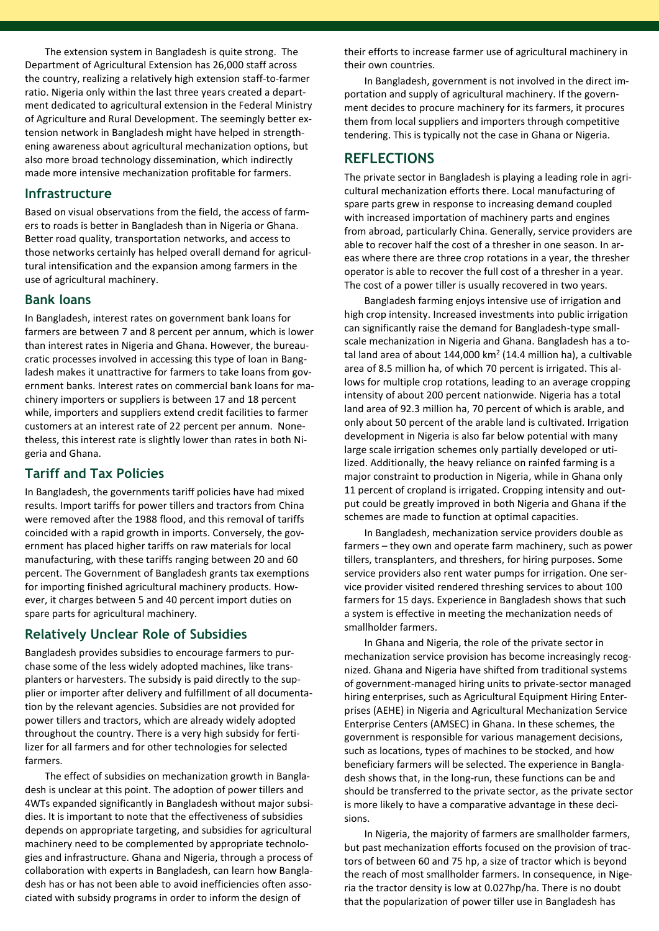The extension system in Bangladesh is quite strong. The Department of Agricultural Extension has 26,000 staff across the country, realizing a relatively high extension staff-to-farmer ratio. Nigeria only within the last three years created a department dedicated to agricultural extension in the Federal Ministry of Agriculture and Rural Development. The seemingly better extension network in Bangladesh might have helped in strengthening awareness about agricultural mechanization options, but also more broad technology dissemination, which indirectly made more intensive mechanization profitable for farmers.

#### **Infrastructure**

Based on visual observations from the field, the access of farmers to roads is better in Bangladesh than in Nigeria or Ghana. Better road quality, transportation networks, and access to those networks certainly has helped overall demand for agricultural intensification and the expansion among farmers in the use of agricultural machinery.

#### **Bank loans**

In Bangladesh, interest rates on government bank loans for farmers are between 7 and 8 percent per annum, which is lower than interest rates in Nigeria and Ghana. However, the bureaucratic processes involved in accessing this type of loan in Bangladesh makes it unattractive for farmers to take loans from government banks. Interest rates on commercial bank loans for machinery importers or suppliers is between 17 and 18 percent while, importers and suppliers extend credit facilities to farmer customers at an interest rate of 22 percent per annum. Nonetheless, this interest rate is slightly lower than rates in both Nigeria and Ghana.

#### **Tariff and Tax Policies**

In Bangladesh, the governments tariff policies have had mixed results. Import tariffs for power tillers and tractors from China were removed after the 1988 flood, and this removal of tariffs coincided with a rapid growth in imports. Conversely, the government has placed higher tariffs on raw materials for local manufacturing, with these tariffs ranging between 20 and 60 percent. The Government of Bangladesh grants tax exemptions for importing finished agricultural machinery products. However, it charges between 5 and 40 percent import duties on spare parts for agricultural machinery.

#### **Relatively Unclear Role of Subsidies**

Bangladesh provides subsidies to encourage farmers to purchase some of the less widely adopted machines, like transplanters or harvesters. The subsidy is paid directly to the supplier or importer after delivery and fulfillment of all documentation by the relevant agencies. Subsidies are not provided for power tillers and tractors, which are already widely adopted throughout the country. There is a very high subsidy for fertilizer for all farmers and for other technologies for selected farmers.

The effect of subsidies on mechanization growth in Bangladesh is unclear at this point. The adoption of power tillers and 4WTs expanded significantly in Bangladesh without major subsidies. It is important to note that the effectiveness of subsidies depends on appropriate targeting, and subsidies for agricultural machinery need to be complemented by appropriate technologies and infrastructure. Ghana and Nigeria, through a process of collaboration with experts in Bangladesh, can learn how Bangladesh has or has not been able to avoid inefficiencies often associated with subsidy programs in order to inform the design of

their efforts to increase farmer use of agricultural machinery in their own countries.

In Bangladesh, government is not involved in the direct importation and supply of agricultural machinery. If the government decides to procure machinery for its farmers, it procures them from local suppliers and importers through competitive tendering. This is typically not the case in Ghana or Nigeria.

## **REFLECTIONS**

The private sector in Bangladesh is playing a leading role in agricultural mechanization efforts there. Local manufacturing of spare parts grew in response to increasing demand coupled with increased importation of machinery parts and engines from abroad, particularly China. Generally, service providers are able to recover half the cost of a thresher in one season. In areas where there are three crop rotations in a year, the thresher operator is able to recover the full cost of a thresher in a year. The cost of a power tiller is usually recovered in two years.

Bangladesh farming enjoys intensive use of irrigation and high crop intensity. Increased investments into public irrigation can significantly raise the demand for Bangladesh-type smallscale mechanization in Nigeria and Ghana. Bangladesh has a total land area of about  $144,000$  km<sup>2</sup> (14.4 million ha), a cultivable area of 8.5 million ha, of which 70 percent is irrigated. This allows for multiple crop rotations, leading to an average cropping intensity of about 200 percent nationwide. Nigeria has a total land area of 92.3 million ha, 70 percent of which is arable, and only about 50 percent of the arable land is cultivated. Irrigation development in Nigeria is also far below potential with many large scale irrigation schemes only partially developed or utilized. Additionally, the heavy reliance on rainfed farming is a major constraint to production in Nigeria, while in Ghana only 11 percent of cropland is irrigated. Cropping intensity and output could be greatly improved in both Nigeria and Ghana if the schemes are made to function at optimal capacities.

In Bangladesh, mechanization service providers double as farmers – they own and operate farm machinery, such as power tillers, transplanters, and threshers, for hiring purposes. Some service providers also rent water pumps for irrigation. One service provider visited rendered threshing services to about 100 farmers for 15 days. Experience in Bangladesh shows that such a system is effective in meeting the mechanization needs of smallholder farmers.

In Ghana and Nigeria, the role of the private sector in mechanization service provision has become increasingly recognized. Ghana and Nigeria have shifted from traditional systems of government-managed hiring units to private-sector managed hiring enterprises, such as Agricultural Equipment Hiring Enterprises (AEHE) in Nigeria and Agricultural Mechanization Service Enterprise Centers (AMSEC) in Ghana. In these schemes, the government is responsible for various management decisions, such as locations, types of machines to be stocked, and how beneficiary farmers will be selected. The experience in Bangladesh shows that, in the long-run, these functions can be and should be transferred to the private sector, as the private sector is more likely to have a comparative advantage in these decisions.

In Nigeria, the majority of farmers are smallholder farmers, but past mechanization efforts focused on the provision of tractors of between 60 and 75 hp, a size of tractor which is beyond the reach of most smallholder farmers. In consequence, in Nigeria the tractor density is low at 0.027hp/ha. There is no doubt that the popularization of power tiller use in Bangladesh has